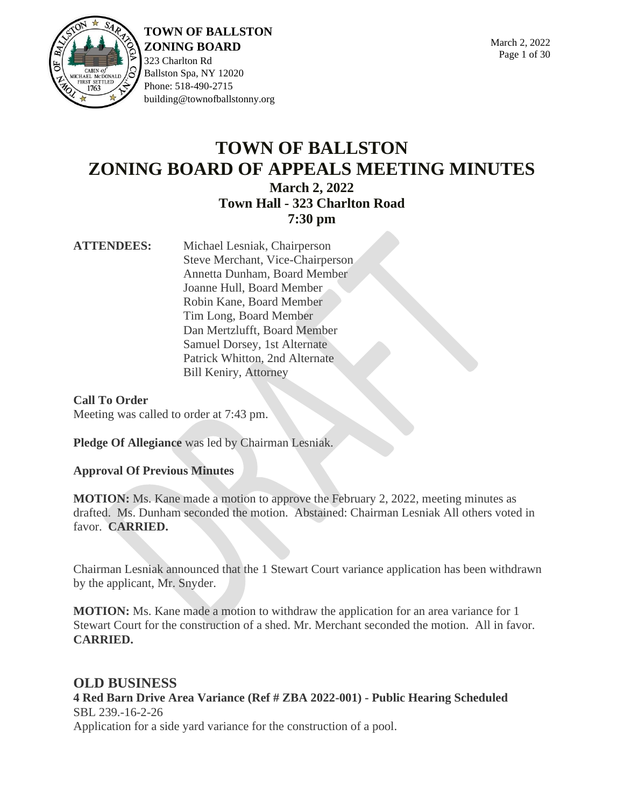

323 Charlton Rd Ballston Spa, NY 12020 Phone: 518-490-2715 building@townofballstonny.org

## **TOWN OF BALLSTON ZONING BOARD OF APPEALS MEETING MINUTES March 2, 2022 Town Hall - 323 Charlton Road**

## **7:30 pm**

**ATTENDEES:** Michael Lesniak, Chairperson Steve Merchant, Vice-Chairperson Annetta Dunham, Board Member Joanne Hull, Board Member Robin Kane, Board Member Tim Long, Board Member Dan Mertzlufft, Board Member Samuel Dorsey, 1st Alternate Patrick Whitton, 2nd Alternate Bill Keniry, Attorney

**Call To Order** Meeting was called to order at 7:43 pm.

**Pledge Of Allegiance** was led by Chairman Lesniak.

## **Approval Of Previous Minutes**

**MOTION:** Ms. Kane made a motion to approve the February 2, 2022, meeting minutes as drafted. Ms. Dunham seconded the motion. Abstained: Chairman Lesniak All others voted in favor. **CARRIED.**

Chairman Lesniak announced that the 1 Stewart Court variance application has been withdrawn by the applicant, Mr. Snyder.

**MOTION:** Ms. Kane made a motion to withdraw the application for an area variance for 1 Stewart Court for the construction of a shed. Mr. Merchant seconded the motion. All in favor. **CARRIED.**

**OLD BUSINESS 4 Red Barn Drive Area Variance (Ref # ZBA 2022-001) - Public Hearing Scheduled** SBL 239.-16-2-26 Application for a side yard variance for the construction of a pool.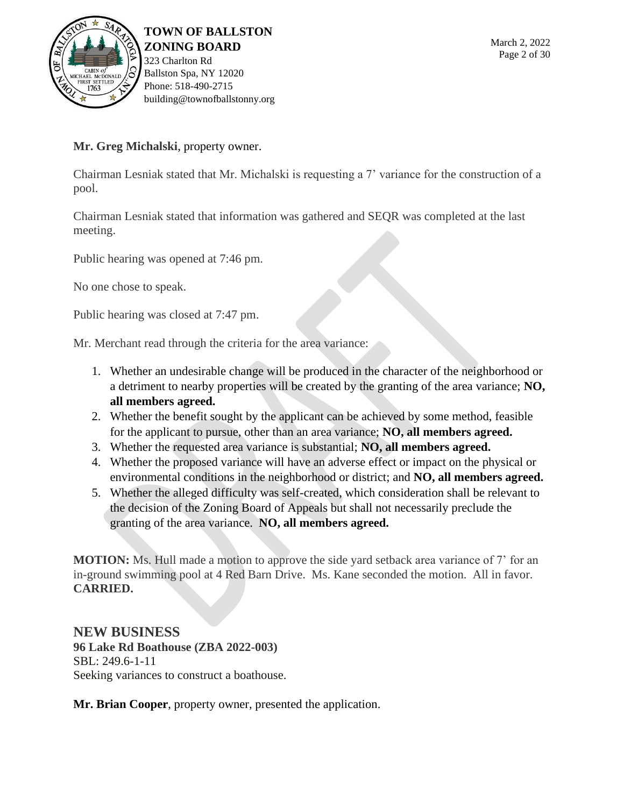

### **Mr. Greg Michalski**, property owner.

Chairman Lesniak stated that Mr. Michalski is requesting a 7' variance for the construction of a pool.

Chairman Lesniak stated that information was gathered and SEQR was completed at the last meeting.

Public hearing was opened at 7:46 pm.

No one chose to speak.

Public hearing was closed at 7:47 pm.

Mr. Merchant read through the criteria for the area variance:

- 1. Whether an undesirable change will be produced in the character of the neighborhood or a detriment to nearby properties will be created by the granting of the area variance; **NO, all members agreed.**
- 2. Whether the benefit sought by the applicant can be achieved by some method, feasible for the applicant to pursue, other than an area variance; **NO, all members agreed.**
- 3. Whether the requested area variance is substantial; **NO, all members agreed.**
- 4. Whether the proposed variance will have an adverse effect or impact on the physical or environmental conditions in the neighborhood or district; and **NO, all members agreed.**
- 5. Whether the alleged difficulty was self-created, which consideration shall be relevant to the decision of the Zoning Board of Appeals but shall not necessarily preclude the granting of the area variance. **NO, all members agreed.**

**MOTION:** Ms. Hull made a motion to approve the side yard setback area variance of 7' for an in-ground swimming pool at 4 Red Barn Drive. Ms. Kane seconded the motion. All in favor. **CARRIED.**

**NEW BUSINESS 96 Lake Rd Boathouse (ZBA 2022-003)** SBL: 249.6-1-11 Seeking variances to construct a boathouse.

**Mr. Brian Cooper**, property owner, presented the application.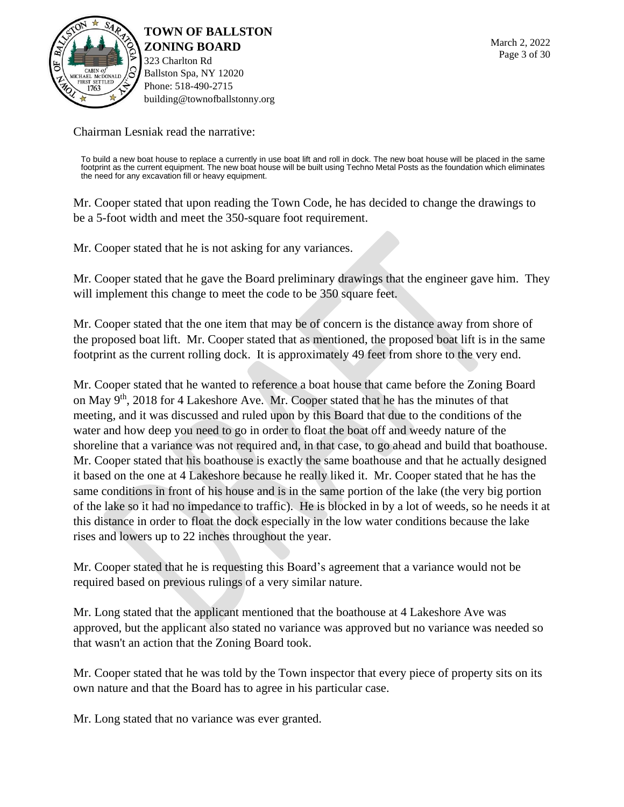

323 Charlton Rd Ballston Spa, NY 12020 Phone: 518-490-2715 building@townofballstonny.org

Chairman Lesniak read the narrative:

To build a new boat house to replace a currently in use boat lift and roll in dock. The new boat house will be placed in the same<br>footprint as the current equipment. The new boat house will be built using Techno Metal Post the need for any excavation fill or heavy equipment.

Mr. Cooper stated that upon reading the Town Code, he has decided to change the drawings to be a 5-foot width and meet the 350-square foot requirement.

Mr. Cooper stated that he is not asking for any variances.

Mr. Cooper stated that he gave the Board preliminary drawings that the engineer gave him. They will implement this change to meet the code to be 350 square feet.

Mr. Cooper stated that the one item that may be of concern is the distance away from shore of the proposed boat lift. Mr. Cooper stated that as mentioned, the proposed boat lift is in the same footprint as the current rolling dock. It is approximately 49 feet from shore to the very end.

Mr. Cooper stated that he wanted to reference a boat house that came before the Zoning Board on May 9th, 2018 for 4 Lakeshore Ave. Mr. Cooper stated that he has the minutes of that meeting, and it was discussed and ruled upon by this Board that due to the conditions of the water and how deep you need to go in order to float the boat off and weedy nature of the shoreline that a variance was not required and, in that case, to go ahead and build that boathouse. Mr. Cooper stated that his boathouse is exactly the same boathouse and that he actually designed it based on the one at 4 Lakeshore because he really liked it. Mr. Cooper stated that he has the same conditions in front of his house and is in the same portion of the lake (the very big portion of the lake so it had no impedance to traffic). He is blocked in by a lot of weeds, so he needs it at this distance in order to float the dock especially in the low water conditions because the lake rises and lowers up to 22 inches throughout the year.

Mr. Cooper stated that he is requesting this Board's agreement that a variance would not be required based on previous rulings of a very similar nature.

Mr. Long stated that the applicant mentioned that the boathouse at 4 Lakeshore Ave was approved, but the applicant also stated no variance was approved but no variance was needed so that wasn't an action that the Zoning Board took.

Mr. Cooper stated that he was told by the Town inspector that every piece of property sits on its own nature and that the Board has to agree in his particular case.

Mr. Long stated that no variance was ever granted.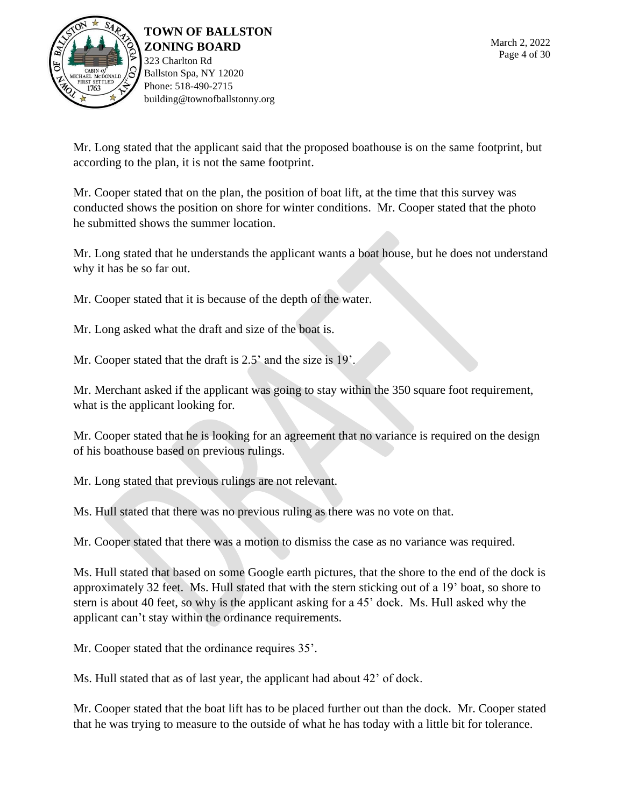

Mr. Long stated that the applicant said that the proposed boathouse is on the same footprint, but according to the plan, it is not the same footprint.

Mr. Cooper stated that on the plan, the position of boat lift, at the time that this survey was conducted shows the position on shore for winter conditions. Mr. Cooper stated that the photo he submitted shows the summer location.

Mr. Long stated that he understands the applicant wants a boat house, but he does not understand why it has be so far out.

Mr. Cooper stated that it is because of the depth of the water.

Mr. Long asked what the draft and size of the boat is.

Mr. Cooper stated that the draft is 2.5' and the size is 19'.

Mr. Merchant asked if the applicant was going to stay within the 350 square foot requirement, what is the applicant looking for.

Mr. Cooper stated that he is looking for an agreement that no variance is required on the design of his boathouse based on previous rulings.

Mr. Long stated that previous rulings are not relevant.

Ms. Hull stated that there was no previous ruling as there was no vote on that.

Mr. Cooper stated that there was a motion to dismiss the case as no variance was required.

Ms. Hull stated that based on some Google earth pictures, that the shore to the end of the dock is approximately 32 feet. Ms. Hull stated that with the stern sticking out of a 19' boat, so shore to stern is about 40 feet, so why is the applicant asking for a 45' dock. Ms. Hull asked why the applicant can't stay within the ordinance requirements.

Mr. Cooper stated that the ordinance requires 35'.

Ms. Hull stated that as of last year, the applicant had about 42' of dock.

Mr. Cooper stated that the boat lift has to be placed further out than the dock. Mr. Cooper stated that he was trying to measure to the outside of what he has today with a little bit for tolerance.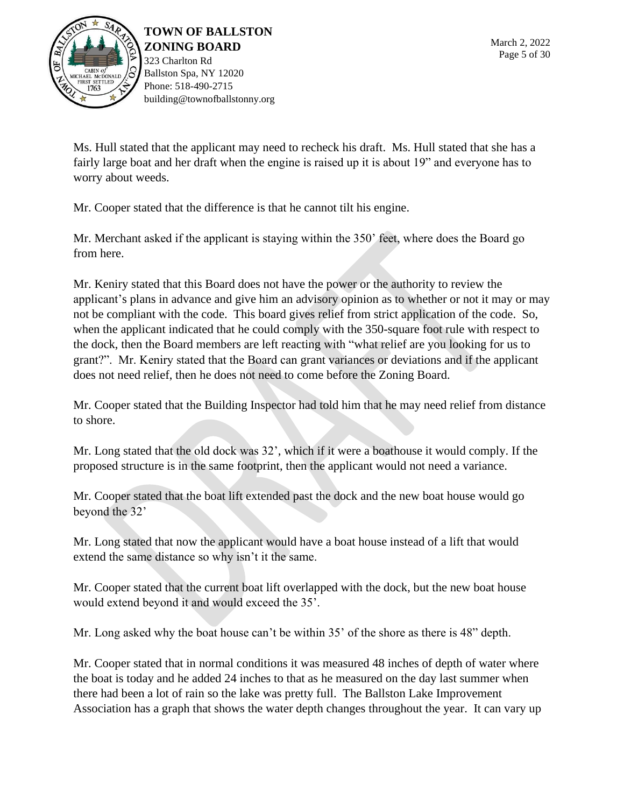

323 Charlton Rd Ballston Spa, NY 12020 Phone: 518-490-2715 building@townofballstonny.org

Ms. Hull stated that the applicant may need to recheck his draft. Ms. Hull stated that she has a fairly large boat and her draft when the engine is raised up it is about 19" and everyone has to worry about weeds.

Mr. Cooper stated that the difference is that he cannot tilt his engine.

Mr. Merchant asked if the applicant is staying within the 350' feet, where does the Board go from here.

Mr. Keniry stated that this Board does not have the power or the authority to review the applicant's plans in advance and give him an advisory opinion as to whether or not it may or may not be compliant with the code. This board gives relief from strict application of the code. So, when the applicant indicated that he could comply with the 350-square foot rule with respect to the dock, then the Board members are left reacting with "what relief are you looking for us to grant?". Mr. Keniry stated that the Board can grant variances or deviations and if the applicant does not need relief, then he does not need to come before the Zoning Board.

Mr. Cooper stated that the Building Inspector had told him that he may need relief from distance to shore.

Mr. Long stated that the old dock was 32', which if it were a boathouse it would comply. If the proposed structure is in the same footprint, then the applicant would not need a variance.

Mr. Cooper stated that the boat lift extended past the dock and the new boat house would go beyond the 32'

Mr. Long stated that now the applicant would have a boat house instead of a lift that would extend the same distance so why isn't it the same.

Mr. Cooper stated that the current boat lift overlapped with the dock, but the new boat house would extend beyond it and would exceed the 35'.

Mr. Long asked why the boat house can't be within 35' of the shore as there is 48" depth.

Mr. Cooper stated that in normal conditions it was measured 48 inches of depth of water where the boat is today and he added 24 inches to that as he measured on the day last summer when there had been a lot of rain so the lake was pretty full. The Ballston Lake Improvement Association has a graph that shows the water depth changes throughout the year. It can vary up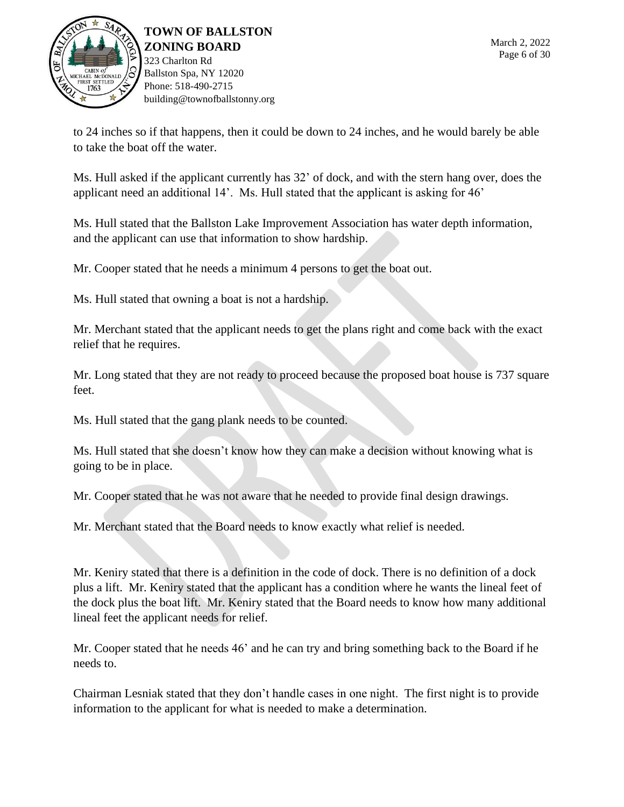

to 24 inches so if that happens, then it could be down to 24 inches, and he would barely be able to take the boat off the water.

Ms. Hull asked if the applicant currently has 32' of dock, and with the stern hang over, does the applicant need an additional 14'. Ms. Hull stated that the applicant is asking for 46'

Ms. Hull stated that the Ballston Lake Improvement Association has water depth information, and the applicant can use that information to show hardship.

Mr. Cooper stated that he needs a minimum 4 persons to get the boat out.

Ms. Hull stated that owning a boat is not a hardship.

Mr. Merchant stated that the applicant needs to get the plans right and come back with the exact relief that he requires.

Mr. Long stated that they are not ready to proceed because the proposed boat house is 737 square feet.

Ms. Hull stated that the gang plank needs to be counted.

Ms. Hull stated that she doesn't know how they can make a decision without knowing what is going to be in place.

Mr. Cooper stated that he was not aware that he needed to provide final design drawings.

Mr. Merchant stated that the Board needs to know exactly what relief is needed.

Mr. Keniry stated that there is a definition in the code of dock. There is no definition of a dock plus a lift. Mr. Keniry stated that the applicant has a condition where he wants the lineal feet of the dock plus the boat lift. Mr. Keniry stated that the Board needs to know how many additional lineal feet the applicant needs for relief.

Mr. Cooper stated that he needs 46' and he can try and bring something back to the Board if he needs to.

Chairman Lesniak stated that they don't handle cases in one night. The first night is to provide information to the applicant for what is needed to make a determination.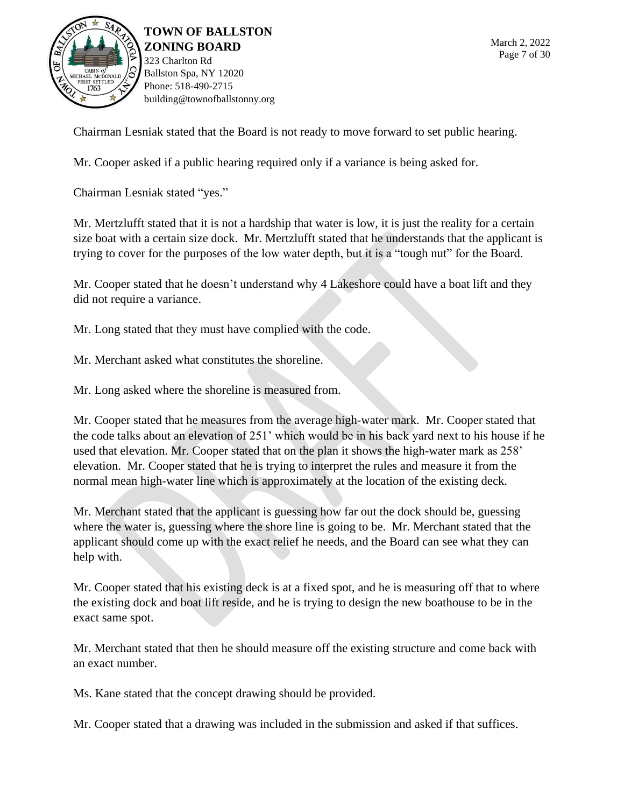

Chairman Lesniak stated that the Board is not ready to move forward to set public hearing.

Mr. Cooper asked if a public hearing required only if a variance is being asked for.

Chairman Lesniak stated "yes."

Mr. Mertzlufft stated that it is not a hardship that water is low, it is just the reality for a certain size boat with a certain size dock. Mr. Mertzlufft stated that he understands that the applicant is trying to cover for the purposes of the low water depth, but it is a "tough nut" for the Board.

Mr. Cooper stated that he doesn't understand why 4 Lakeshore could have a boat lift and they did not require a variance.

Mr. Long stated that they must have complied with the code.

Mr. Merchant asked what constitutes the shoreline.

Mr. Long asked where the shoreline is measured from.

Mr. Cooper stated that he measures from the average high-water mark. Mr. Cooper stated that the code talks about an elevation of 251' which would be in his back yard next to his house if he used that elevation. Mr. Cooper stated that on the plan it shows the high-water mark as 258' elevation. Mr. Cooper stated that he is trying to interpret the rules and measure it from the normal mean high-water line which is approximately at the location of the existing deck.

Mr. Merchant stated that the applicant is guessing how far out the dock should be, guessing where the water is, guessing where the shore line is going to be. Mr. Merchant stated that the applicant should come up with the exact relief he needs, and the Board can see what they can help with.

Mr. Cooper stated that his existing deck is at a fixed spot, and he is measuring off that to where the existing dock and boat lift reside, and he is trying to design the new boathouse to be in the exact same spot.

Mr. Merchant stated that then he should measure off the existing structure and come back with an exact number.

Ms. Kane stated that the concept drawing should be provided.

Mr. Cooper stated that a drawing was included in the submission and asked if that suffices.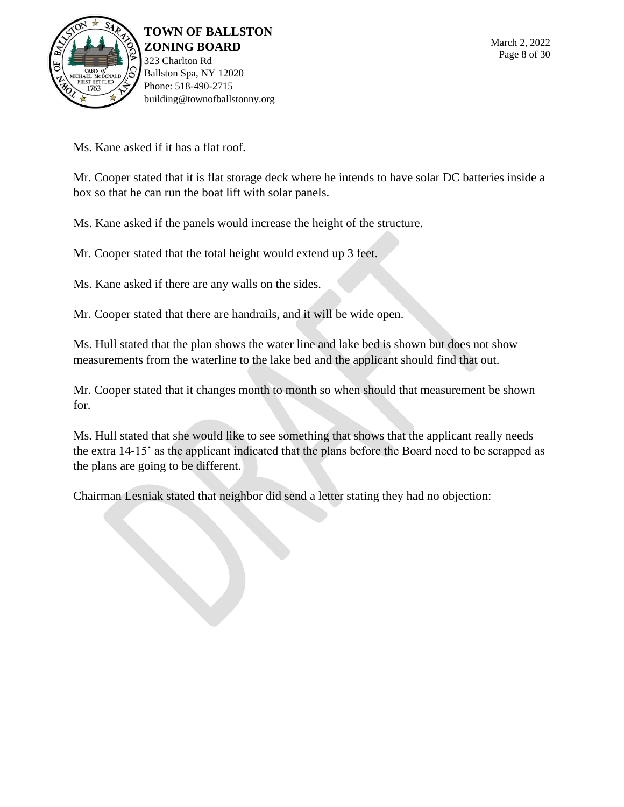

Ms. Kane asked if it has a flat roof.

Mr. Cooper stated that it is flat storage deck where he intends to have solar DC batteries inside a box so that he can run the boat lift with solar panels.

Ms. Kane asked if the panels would increase the height of the structure.

Mr. Cooper stated that the total height would extend up 3 feet.

Ms. Kane asked if there are any walls on the sides.

Mr. Cooper stated that there are handrails, and it will be wide open.

Ms. Hull stated that the plan shows the water line and lake bed is shown but does not show measurements from the waterline to the lake bed and the applicant should find that out.

Mr. Cooper stated that it changes month to month so when should that measurement be shown for.

Ms. Hull stated that she would like to see something that shows that the applicant really needs the extra 14-15' as the applicant indicated that the plans before the Board need to be scrapped as the plans are going to be different.

Chairman Lesniak stated that neighbor did send a letter stating they had no objection: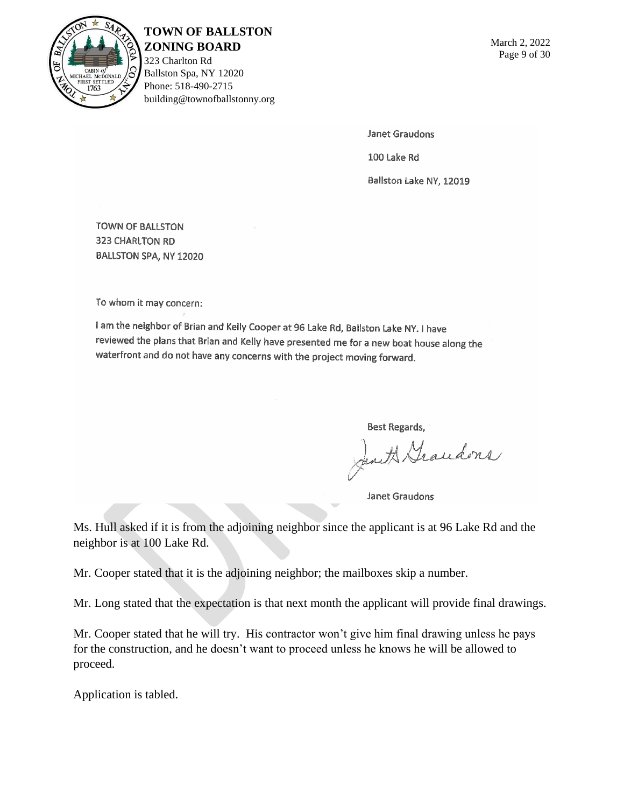

## **TOWN OF BALLSTON**

**ZONING BOARD** 323 Charlton Rd Ballston Spa, NY 12020 Phone: 518-490-2715 building@townofballstonny.org

Janet Graudons

100 Lake Rd

Ballston Lake NY, 12019

**TOWN OF BALLSTON** 323 CHARLTON RD BALLSTON SPA, NY 12020

To whom it may concern:

I am the neighbor of Brian and Kelly Cooper at 96 Lake Rd, Ballston Lake NY. I have reviewed the plans that Brian and Kelly have presented me for a new boat house along the waterfront and do not have any concerns with the project moving forward.

Best Regards,

Jent Grandons

Janet Graudons

Ms. Hull asked if it is from the adjoining neighbor since the applicant is at 96 Lake Rd and the neighbor is at 100 Lake Rd.

Mr. Cooper stated that it is the adjoining neighbor; the mailboxes skip a number.

Mr. Long stated that the expectation is that next month the applicant will provide final drawings.

Mr. Cooper stated that he will try. His contractor won't give him final drawing unless he pays for the construction, and he doesn't want to proceed unless he knows he will be allowed to proceed.

Application is tabled.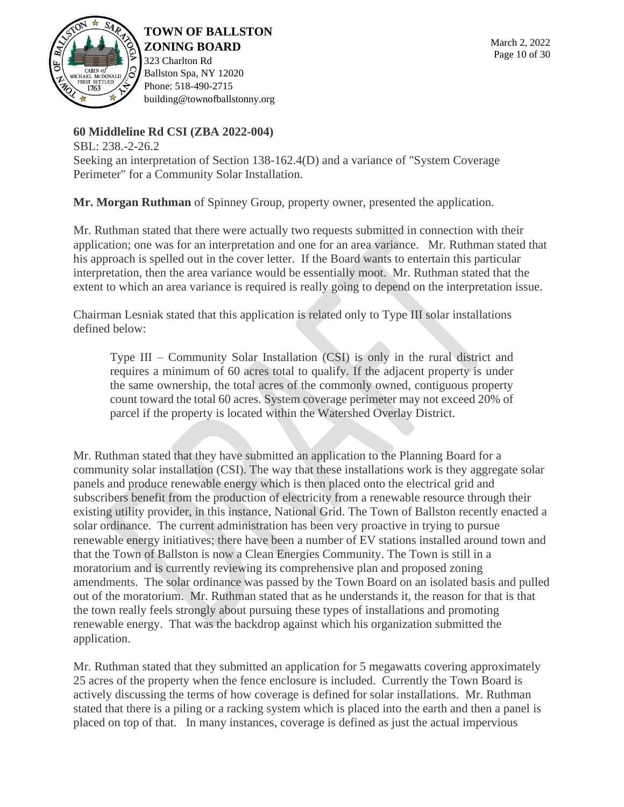

323 Charlton Rd Ballston Spa, NY 12020 Phone: 518-490-2715 building@townofballstonny.org

## **60 Middleline Rd CSI (ZBA 2022-004)**

SBL: 238.-2-26.2 Seeking an interpretation of Section 138-162.4(D) and a variance of "System Coverage Perimeter" for a Community Solar Installation.

**Mr. Morgan Ruthman** of Spinney Group, property owner, presented the application.

Mr. Ruthman stated that there were actually two requests submitted in connection with their application; one was for an interpretation and one for an area variance. Mr. Ruthman stated that his approach is spelled out in the cover letter. If the Board wants to entertain this particular interpretation, then the area variance would be essentially moot. Mr. Ruthman stated that the extent to which an area variance is required is really going to depend on the interpretation issue.

Chairman Lesniak stated that this application is related only to Type III solar installations defined below:

Type III – Community Solar Installation (CSI) is only in the rural district and requires a minimum of 60 acres total to qualify. If the adjacent property is under the same ownership, the total acres of the commonly owned, contiguous property count toward the total 60 acres. System coverage perimeter may not exceed 20% of parcel if the property is located within the Watershed Overlay District.

Mr. Ruthman stated that they have submitted an application to the Planning Board for a community solar installation (CSI). The way that these installations work is they aggregate solar panels and produce renewable energy which is then placed onto the electrical grid and subscribers benefit from the production of electricity from a renewable resource through their existing utility provider, in this instance, National Grid. The Town of Ballston recently enacted a solar ordinance. The current administration has been very proactive in trying to pursue renewable energy initiatives; there have been a number of EV stations installed around town and that the Town of Ballston is now a Clean Energies Community. The Town is still in a moratorium and is currently reviewing its comprehensive plan and proposed zoning amendments. The solar ordinance was passed by the Town Board on an isolated basis and pulled out of the moratorium. Mr. Ruthman stated that as he understands it, the reason for that is that the town really feels strongly about pursuing these types of installations and promoting renewable energy. That was the backdrop against which his organization submitted the application.

Mr. Ruthman stated that they submitted an application for 5 megawatts covering approximately 25 acres of the property when the fence enclosure is included. Currently the Town Board is actively discussing the terms of how coverage is defined for solar installations. Mr. Ruthman stated that there is a piling or a racking system which is placed into the earth and then a panel is placed on top of that. In many instances, coverage is defined as just the actual impervious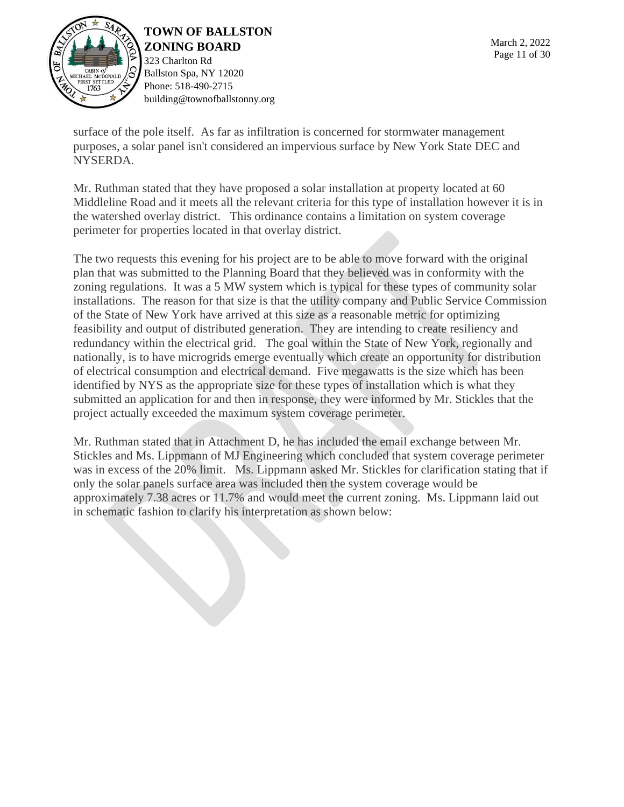

323 Charlton Rd Ballston Spa, NY 12020 Phone: 518-490-2715 building@townofballstonny.org

surface of the pole itself. As far as infiltration is concerned for stormwater management purposes, a solar panel isn't considered an impervious surface by New York State DEC and NYSERDA.

Mr. Ruthman stated that they have proposed a solar installation at property located at 60 Middleline Road and it meets all the relevant criteria for this type of installation however it is in the watershed overlay district. This ordinance contains a limitation on system coverage perimeter for properties located in that overlay district.

The two requests this evening for his project are to be able to move forward with the original plan that was submitted to the Planning Board that they believed was in conformity with the zoning regulations. It was a 5 MW system which is typical for these types of community solar installations. The reason for that size is that the utility company and Public Service Commission of the State of New York have arrived at this size as a reasonable metric for optimizing feasibility and output of distributed generation. They are intending to create resiliency and redundancy within the electrical grid. The goal within the State of New York, regionally and nationally, is to have microgrids emerge eventually which create an opportunity for distribution of electrical consumption and electrical demand. Five megawatts is the size which has been identified by NYS as the appropriate size for these types of installation which is what they submitted an application for and then in response, they were informed by Mr. Stickles that the project actually exceeded the maximum system coverage perimeter.

Mr. Ruthman stated that in Attachment D, he has included the email exchange between Mr. Stickles and Ms. Lippmann of MJ Engineering which concluded that system coverage perimeter was in excess of the 20% limit. Ms. Lippmann asked Mr. Stickles for clarification stating that if only the solar panels surface area was included then the system coverage would be approximately 7.38 acres or 11.7% and would meet the current zoning. Ms. Lippmann laid out in schematic fashion to clarify his interpretation as shown below: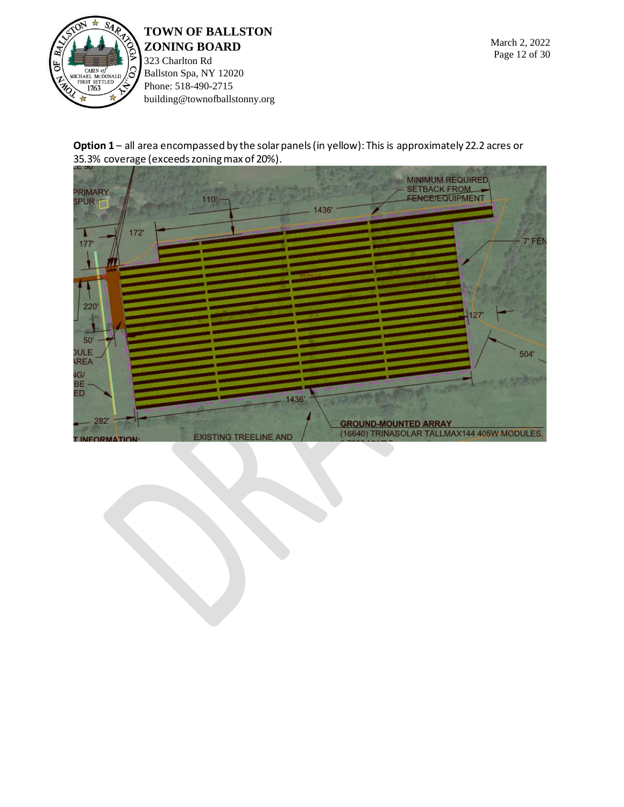

323 Charlton Rd Ballston Spa, NY 12020 Phone: 518-490-2715 building@townofballstonny.org

**Option 1** – all area encompassed by the solar panels (in yellow): This is approximately 22.2 acres or 35.3% coverage (exceeds zoning max of 20%).

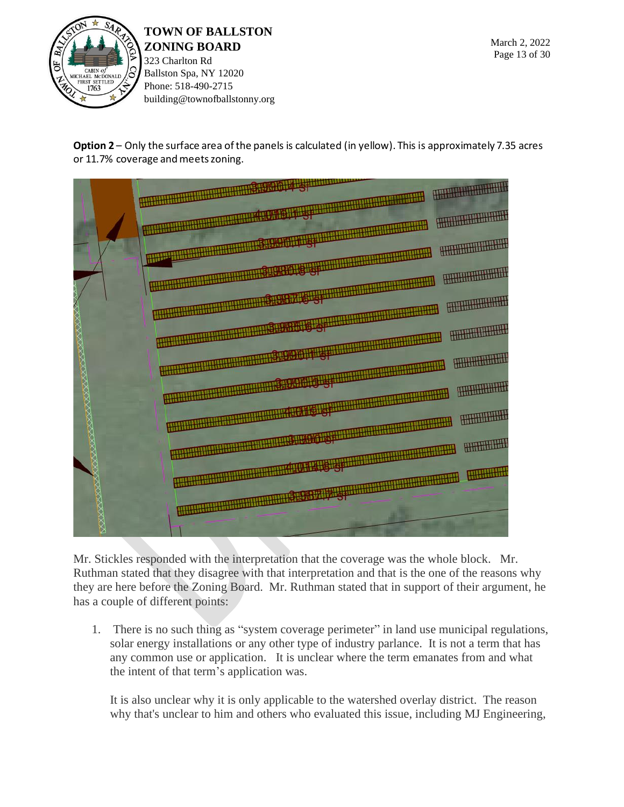

**Option 2** – Only the surface area of the panels is calculated (in yellow). This is approximately 7.35 acres or 11.7% coverage and meets zoning.



Mr. Stickles responded with the interpretation that the coverage was the whole block. Mr. Ruthman stated that they disagree with that interpretation and that is the one of the reasons why they are here before the Zoning Board. Mr. Ruthman stated that in support of their argument, he has a couple of different points:

1. There is no such thing as "system coverage perimeter" in land use municipal regulations, solar energy installations or any other type of industry parlance. It is not a term that has any common use or application. It is unclear where the term emanates from and what the intent of that term's application was.

It is also unclear why it is only applicable to the watershed overlay district. The reason why that's unclear to him and others who evaluated this issue, including MJ Engineering,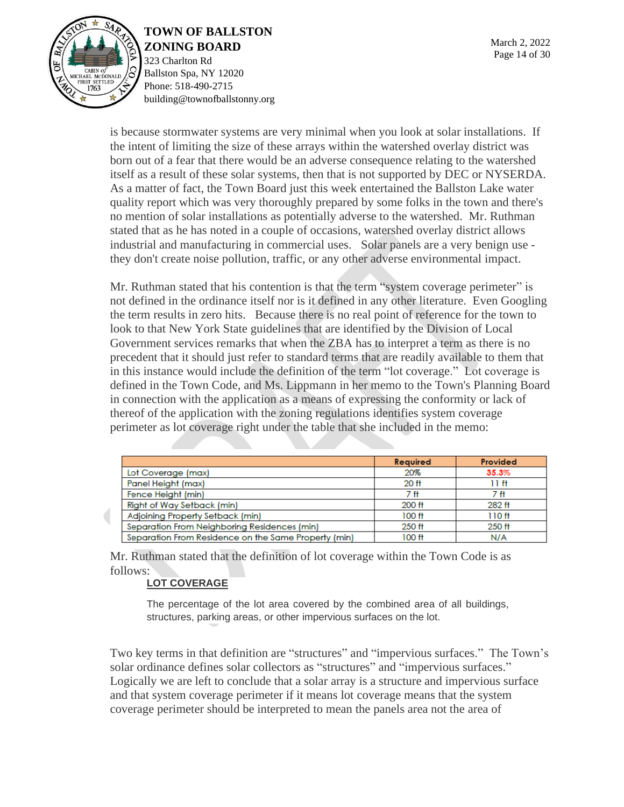

323 Charlton Rd Ballston Spa, NY 12020 Phone: 518-490-2715 building@townofballstonny.org

is because stormwater systems are very minimal when you look at solar installations. If the intent of limiting the size of these arrays within the watershed overlay district was born out of a fear that there would be an adverse consequence relating to the watershed itself as a result of these solar systems, then that is not supported by DEC or NYSERDA. As a matter of fact, the Town Board just this week entertained the Ballston Lake water quality report which was very thoroughly prepared by some folks in the town and there's no mention of solar installations as potentially adverse to the watershed. Mr. Ruthman stated that as he has noted in a couple of occasions, watershed overlay district allows industrial and manufacturing in commercial uses. Solar panels are a very benign use they don't create noise pollution, traffic, or any other adverse environmental impact.

Mr. Ruthman stated that his contention is that the term "system coverage perimeter" is not defined in the ordinance itself nor is it defined in any other literature. Even Googling the term results in zero hits. Because there is no real point of reference for the town to look to that New York State guidelines that are identified by the Division of Local Government services remarks that when the ZBA has to interpret a term as there is no precedent that it should just refer to standard terms that are readily available to them that in this instance would include the definition of the term "lot coverage." Lot coverage is defined in the Town Code, and Ms. Lippmann in her memo to the Town's Planning Board in connection with the application as a means of expressing the conformity or lack of thereof of the application with the zoning regulations identifies system coverage perimeter as lot coverage right under the table that she included in the memo:

|                                                      | <b>Required</b>   | Provided          |
|------------------------------------------------------|-------------------|-------------------|
| Lot Coverage (max)                                   | 20%               | 35.3%             |
| Panel Height (max)                                   | 20 <sub>ft</sub>  | 11 ft             |
| Fence Height (min)                                   | 7 ft              | 7 ft              |
| <b>Right of Way Setback (min)</b>                    | 200 ft            | 282 ft            |
| Adjoining Property Setback (min)                     | 100 <sub>ft</sub> | 110 <sub>ft</sub> |
| Separation From Neighboring Residences (min)         | 250 ft            | 250 ft            |
| Separation From Residence on the Same Property (min) | 100 ft            | N/A               |

Mr. Ruthman stated that the definition of lot coverage within the Town Code is as follows:

#### **[LOT COVERAGE](https://ecode360.com/36316910#36316910)**

The percentage of the lot area covered by the combined area of all buildings, structures, parking areas, or other impervious surfaces on the lot.

Two key terms in that definition are "structures" and "impervious surfaces." The Town's solar ordinance defines solar collectors as "structures" and "impervious surfaces." Logically we are left to conclude that a solar array is a structure and impervious surface and that system coverage perimeter if it means lot coverage means that the system coverage perimeter should be interpreted to mean the panels area not the area of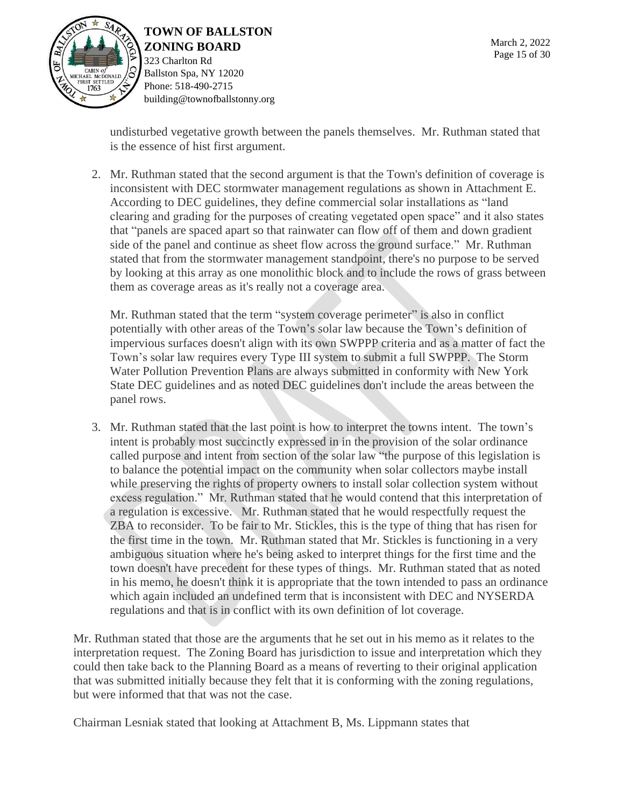

# **TOWN OF BALLSTON**

**ZONING BOARD** 323 Charlton Rd Ballston Spa, NY 12020 Phone: 518-490-2715 building@townofballstonny.org

undisturbed vegetative growth between the panels themselves. Mr. Ruthman stated that is the essence of hist first argument.

2. Mr. Ruthman stated that the second argument is that the Town's definition of coverage is inconsistent with DEC stormwater management regulations as shown in Attachment E. According to DEC guidelines, they define commercial solar installations as "land clearing and grading for the purposes of creating vegetated open space" and it also states that "panels are spaced apart so that rainwater can flow off of them and down gradient side of the panel and continue as sheet flow across the ground surface." Mr. Ruthman stated that from the stormwater management standpoint, there's no purpose to be served by looking at this array as one monolithic block and to include the rows of grass between them as coverage areas as it's really not a coverage area.

Mr. Ruthman stated that the term "system coverage perimeter" is also in conflict potentially with other areas of the Town's solar law because the Town's definition of impervious surfaces doesn't align with its own SWPPP criteria and as a matter of fact the Town's solar law requires every Type III system to submit a full SWPPP. The Storm Water Pollution Prevention Plans are always submitted in conformity with New York State DEC guidelines and as noted DEC guidelines don't include the areas between the panel rows.

3. Mr. Ruthman stated that the last point is how to interpret the towns intent. The town's intent is probably most succinctly expressed in in the provision of the solar ordinance called purpose and intent from section of the solar law "the purpose of this legislation is to balance the potential impact on the community when solar collectors maybe install while preserving the rights of property owners to install solar collection system without excess regulation." Mr. Ruthman stated that he would contend that this interpretation of a regulation is excessive. Mr. Ruthman stated that he would respectfully request the ZBA to reconsider. To be fair to Mr. Stickles, this is the type of thing that has risen for the first time in the town. Mr. Ruthman stated that Mr. Stickles is functioning in a very ambiguous situation where he's being asked to interpret things for the first time and the town doesn't have precedent for these types of things. Mr. Ruthman stated that as noted in his memo, he doesn't think it is appropriate that the town intended to pass an ordinance which again included an undefined term that is inconsistent with DEC and NYSERDA regulations and that is in conflict with its own definition of lot coverage.

Mr. Ruthman stated that those are the arguments that he set out in his memo as it relates to the interpretation request. The Zoning Board has jurisdiction to issue and interpretation which they could then take back to the Planning Board as a means of reverting to their original application that was submitted initially because they felt that it is conforming with the zoning regulations, but were informed that that was not the case.

Chairman Lesniak stated that looking at Attachment B, Ms. Lippmann states that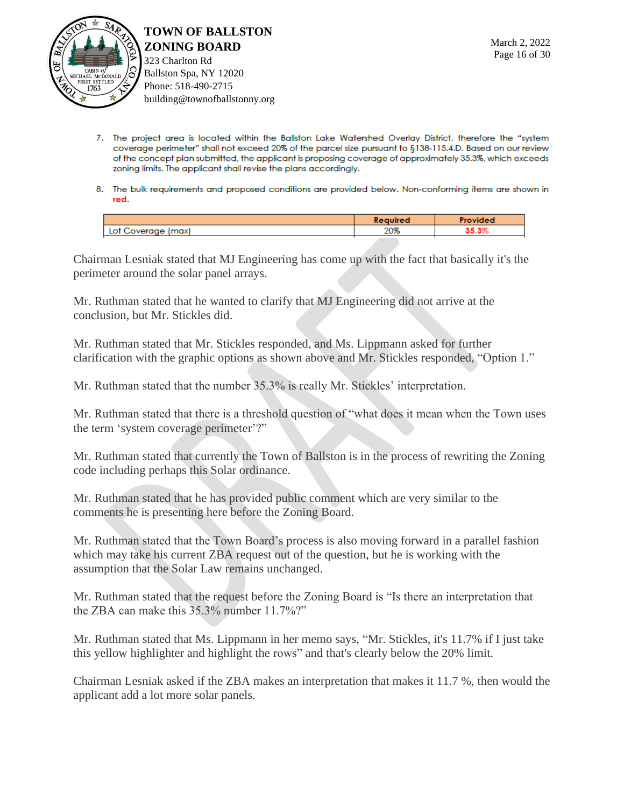

**TOWN OF BALLSTON ZONING BOARD** 323 Charlton Rd

Ballston Spa, NY 12020 Phone: 518-490-2715 building@townofballstonny.org

- 7. The project area is located within the Ballston Lake Watershed Overlay District, therefore the "system coverage perimeter" shall not exceed 20% of the parcel size pursuant to §138-115.4.D. Based on our review of the concept plan submitted, the applicant is proposing coverage of approximately 35.3%, which exceeds zoning limits. The applicant shall revise the plans accordingly.
- 8. The bulk requirements and proposed conditions are provided below. Non-conforming items are shown in red.

|                         | Required    | Provideo |
|-------------------------|-------------|----------|
| (max)<br>Lot Coverage 1 | ററയ<br>2U70 | ve ser   |
|                         |             |          |

Chairman Lesniak stated that MJ Engineering has come up with the fact that basically it's the perimeter around the solar panel arrays.

Mr. Ruthman stated that he wanted to clarify that MJ Engineering did not arrive at the conclusion, but Mr. Stickles did.

Mr. Ruthman stated that Mr. Stickles responded, and Ms. Lippmann asked for further clarification with the graphic options as shown above and Mr. Stickles responded, "Option 1."

Mr. Ruthman stated that the number 35.3% is really Mr. Stickles' interpretation.

Mr. Ruthman stated that there is a threshold question of "what does it mean when the Town uses the term 'system coverage perimeter'?"

Mr. Ruthman stated that currently the Town of Ballston is in the process of rewriting the Zoning code including perhaps this Solar ordinance.

Mr. Ruthman stated that he has provided public comment which are very similar to the comments he is presenting here before the Zoning Board.

Mr. Ruthman stated that the Town Board's process is also moving forward in a parallel fashion which may take his current ZBA request out of the question, but he is working with the assumption that the Solar Law remains unchanged.

Mr. Ruthman stated that the request before the Zoning Board is "Is there an interpretation that the ZBA can make this 35.3% number 11.7%?"

Mr. Ruthman stated that Ms. Lippmann in her memo says, "Mr. Stickles, it's 11.7% if I just take this yellow highlighter and highlight the rows" and that's clearly below the 20% limit.

Chairman Lesniak asked if the ZBA makes an interpretation that makes it 11.7 %, then would the applicant add a lot more solar panels.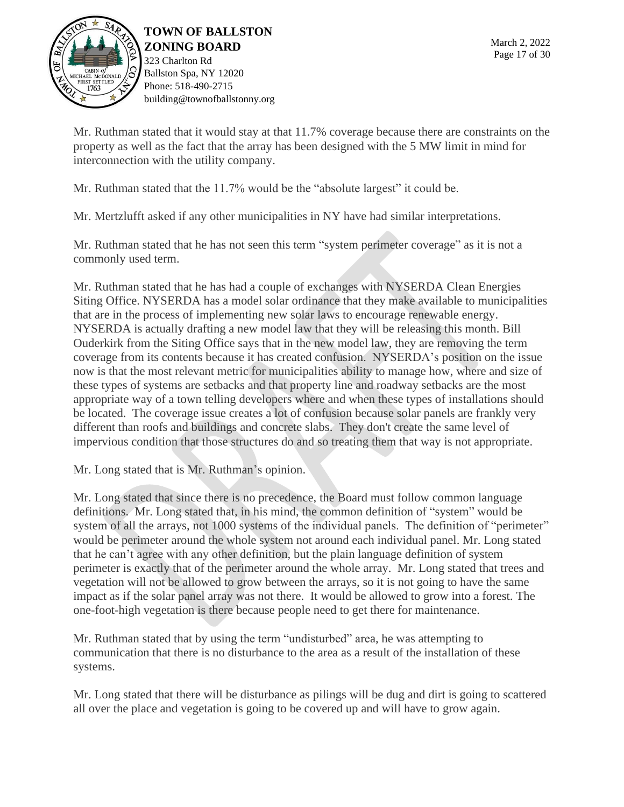

323 Charlton Rd Ballston Spa, NY 12020 Phone: 518-490-2715 building@townofballstonny.org

Mr. Ruthman stated that it would stay at that 11.7% coverage because there are constraints on the property as well as the fact that the array has been designed with the 5 MW limit in mind for interconnection with the utility company.

Mr. Ruthman stated that the 11.7% would be the "absolute largest" it could be.

Mr. Mertzlufft asked if any other municipalities in NY have had similar interpretations.

Mr. Ruthman stated that he has not seen this term "system perimeter coverage" as it is not a commonly used term.

Mr. Ruthman stated that he has had a couple of exchanges with NYSERDA Clean Energies Siting Office. NYSERDA has a model solar ordinance that they make available to municipalities that are in the process of implementing new solar laws to encourage renewable energy. NYSERDA is actually drafting a new model law that they will be releasing this month. Bill Ouderkirk from the Siting Office says that in the new model law, they are removing the term coverage from its contents because it has created confusion. NYSERDA's position on the issue now is that the most relevant metric for municipalities ability to manage how, where and size of these types of systems are setbacks and that property line and roadway setbacks are the most appropriate way of a town telling developers where and when these types of installations should be located. The coverage issue creates a lot of confusion because solar panels are frankly very different than roofs and buildings and concrete slabs. They don't create the same level of impervious condition that those structures do and so treating them that way is not appropriate.

Mr. Long stated that is Mr. Ruthman's opinion.

Mr. Long stated that since there is no precedence, the Board must follow common language definitions. Mr. Long stated that, in his mind, the common definition of "system" would be system of all the arrays, not 1000 systems of the individual panels. The definition of "perimeter" would be perimeter around the whole system not around each individual panel. Mr. Long stated that he can't agree with any other definition, but the plain language definition of system perimeter is exactly that of the perimeter around the whole array. Mr. Long stated that trees and vegetation will not be allowed to grow between the arrays, so it is not going to have the same impact as if the solar panel array was not there. It would be allowed to grow into a forest. The one-foot-high vegetation is there because people need to get there for maintenance.

Mr. Ruthman stated that by using the term "undisturbed" area, he was attempting to communication that there is no disturbance to the area as a result of the installation of these systems.

Mr. Long stated that there will be disturbance as pilings will be dug and dirt is going to scattered all over the place and vegetation is going to be covered up and will have to grow again.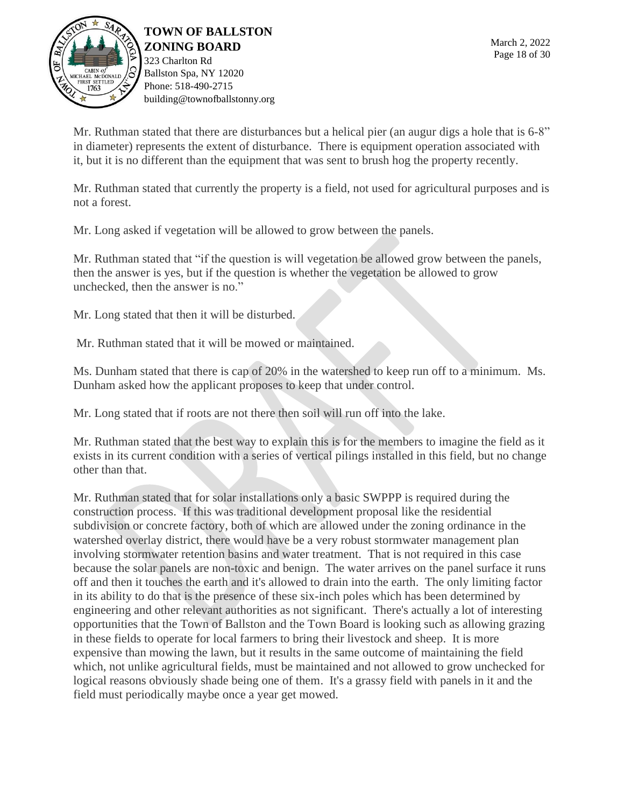

**TOWN OF BALLSTON ZONING BOARD** 323 Charlton Rd Ballston Spa, NY 12020 Phone: 518-490-2715

building@townofballstonny.org

Mr. Ruthman stated that there are disturbances but a helical pier (an augur digs a hole that is 6-8" in diameter) represents the extent of disturbance. There is equipment operation associated with it, but it is no different than the equipment that was sent to brush hog the property recently.

Mr. Ruthman stated that currently the property is a field, not used for agricultural purposes and is not a forest.

Mr. Long asked if vegetation will be allowed to grow between the panels.

Mr. Ruthman stated that "if the question is will vegetation be allowed grow between the panels, then the answer is yes, but if the question is whether the vegetation be allowed to grow unchecked, then the answer is no."

Mr. Long stated that then it will be disturbed.

Mr. Ruthman stated that it will be mowed or maintained.

Ms. Dunham stated that there is cap of 20% in the watershed to keep run off to a minimum. Ms. Dunham asked how the applicant proposes to keep that under control.

Mr. Long stated that if roots are not there then soil will run off into the lake.

Mr. Ruthman stated that the best way to explain this is for the members to imagine the field as it exists in its current condition with a series of vertical pilings installed in this field, but no change other than that.

Mr. Ruthman stated that for solar installations only a basic SWPPP is required during the construction process. If this was traditional development proposal like the residential subdivision or concrete factory, both of which are allowed under the zoning ordinance in the watershed overlay district, there would have be a very robust stormwater management plan involving stormwater retention basins and water treatment. That is not required in this case because the solar panels are non-toxic and benign. The water arrives on the panel surface it runs off and then it touches the earth and it's allowed to drain into the earth. The only limiting factor in its ability to do that is the presence of these six-inch poles which has been determined by engineering and other relevant authorities as not significant. There's actually a lot of interesting opportunities that the Town of Ballston and the Town Board is looking such as allowing grazing in these fields to operate for local farmers to bring their livestock and sheep. It is more expensive than mowing the lawn, but it results in the same outcome of maintaining the field which, not unlike agricultural fields, must be maintained and not allowed to grow unchecked for logical reasons obviously shade being one of them. It's a grassy field with panels in it and the field must periodically maybe once a year get mowed.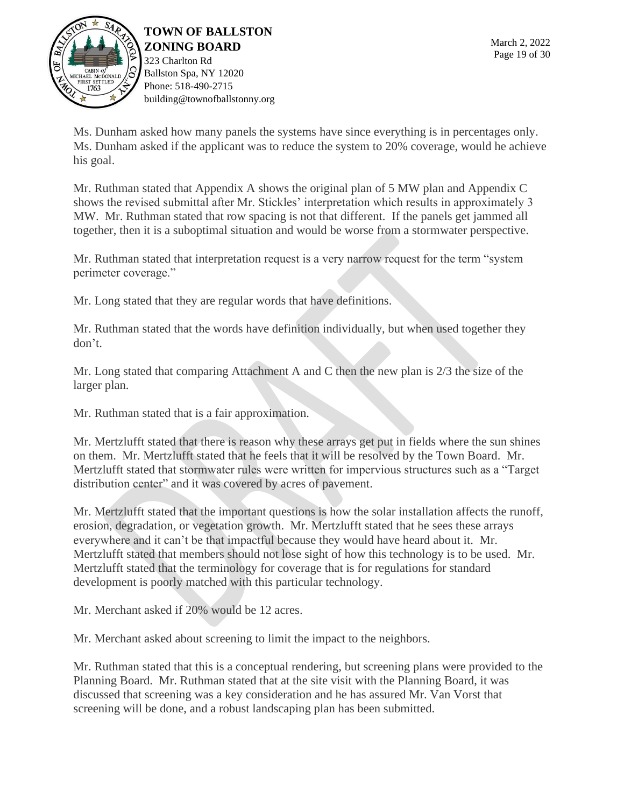

323 Charlton Rd Ballston Spa, NY 12020 Phone: 518-490-2715 building@townofballstonny.org

Ms. Dunham asked how many panels the systems have since everything is in percentages only. Ms. Dunham asked if the applicant was to reduce the system to 20% coverage, would he achieve his goal.

Mr. Ruthman stated that Appendix A shows the original plan of 5 MW plan and Appendix C shows the revised submittal after Mr. Stickles' interpretation which results in approximately 3 MW. Mr. Ruthman stated that row spacing is not that different. If the panels get jammed all together, then it is a suboptimal situation and would be worse from a stormwater perspective.

Mr. Ruthman stated that interpretation request is a very narrow request for the term "system perimeter coverage."

Mr. Long stated that they are regular words that have definitions.

Mr. Ruthman stated that the words have definition individually, but when used together they don't.

Mr. Long stated that comparing Attachment A and C then the new plan is 2/3 the size of the larger plan.

Mr. Ruthman stated that is a fair approximation.

Mr. Mertzlufft stated that there is reason why these arrays get put in fields where the sun shines on them. Mr. Mertzlufft stated that he feels that it will be resolved by the Town Board. Mr. Mertzlufft stated that stormwater rules were written for impervious structures such as a "Target distribution center" and it was covered by acres of pavement.

Mr. Mertzlufft stated that the important questions is how the solar installation affects the runoff, erosion, degradation, or vegetation growth. Mr. Mertzlufft stated that he sees these arrays everywhere and it can't be that impactful because they would have heard about it. Mr. Mertzlufft stated that members should not lose sight of how this technology is to be used. Mr. Mertzlufft stated that the terminology for coverage that is for regulations for standard development is poorly matched with this particular technology.

Mr. Merchant asked if 20% would be 12 acres.

Mr. Merchant asked about screening to limit the impact to the neighbors.

Mr. Ruthman stated that this is a conceptual rendering, but screening plans were provided to the Planning Board. Mr. Ruthman stated that at the site visit with the Planning Board, it was discussed that screening was a key consideration and he has assured Mr. Van Vorst that screening will be done, and a robust landscaping plan has been submitted.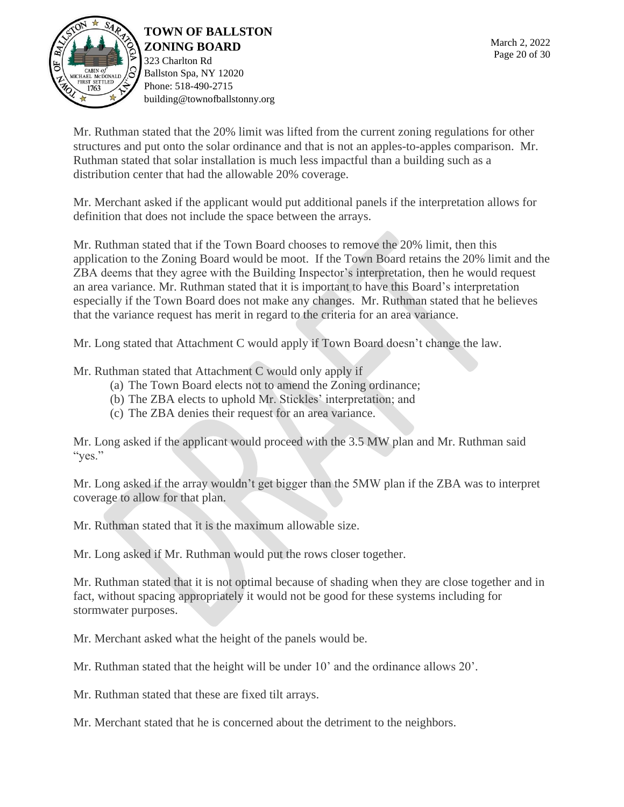

323 Charlton Rd Ballston Spa, NY 12020 Phone: 518-490-2715 building@townofballstonny.org

Mr. Ruthman stated that the 20% limit was lifted from the current zoning regulations for other structures and put onto the solar ordinance and that is not an apples-to-apples comparison. Mr. Ruthman stated that solar installation is much less impactful than a building such as a distribution center that had the allowable 20% coverage.

Mr. Merchant asked if the applicant would put additional panels if the interpretation allows for definition that does not include the space between the arrays.

Mr. Ruthman stated that if the Town Board chooses to remove the 20% limit, then this application to the Zoning Board would be moot. If the Town Board retains the 20% limit and the ZBA deems that they agree with the Building Inspector's interpretation, then he would request an area variance. Mr. Ruthman stated that it is important to have this Board's interpretation especially if the Town Board does not make any changes. Mr. Ruthman stated that he believes that the variance request has merit in regard to the criteria for an area variance.

Mr. Long stated that Attachment C would apply if Town Board doesn't change the law.

Mr. Ruthman stated that Attachment C would only apply if

- (a) The Town Board elects not to amend the Zoning ordinance;
- (b) The ZBA elects to uphold Mr. Stickles' interpretation; and
- (c) The ZBA denies their request for an area variance.

Mr. Long asked if the applicant would proceed with the 3.5 MW plan and Mr. Ruthman said "yes."

Mr. Long asked if the array wouldn't get bigger than the 5MW plan if the ZBA was to interpret coverage to allow for that plan.

Mr. Ruthman stated that it is the maximum allowable size.

Mr. Long asked if Mr. Ruthman would put the rows closer together.

Mr. Ruthman stated that it is not optimal because of shading when they are close together and in fact, without spacing appropriately it would not be good for these systems including for stormwater purposes.

Mr. Merchant asked what the height of the panels would be.

Mr. Ruthman stated that the height will be under 10' and the ordinance allows 20'.

Mr. Ruthman stated that these are fixed tilt arrays.

Mr. Merchant stated that he is concerned about the detriment to the neighbors.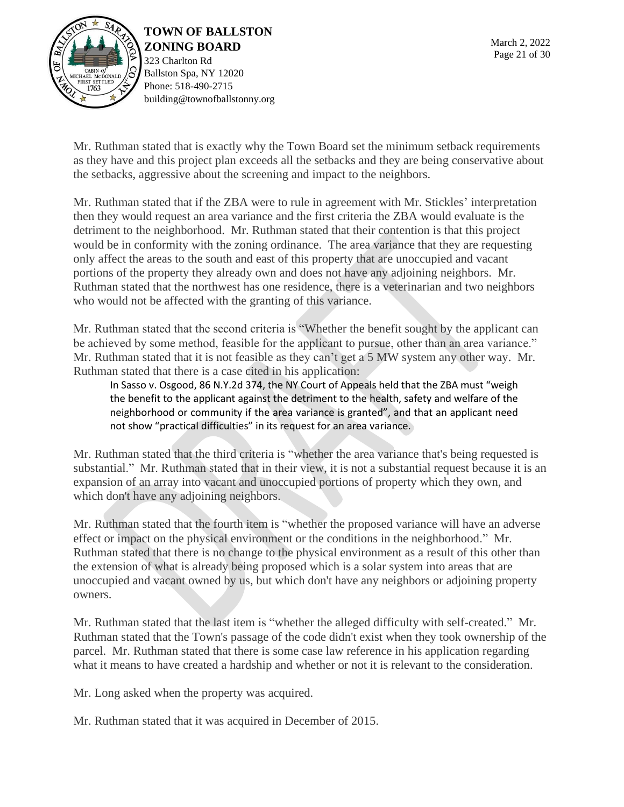

323 Charlton Rd Ballston Spa, NY 12020 Phone: 518-490-2715 building@townofballstonny.org

Mr. Ruthman stated that is exactly why the Town Board set the minimum setback requirements as they have and this project plan exceeds all the setbacks and they are being conservative about the setbacks, aggressive about the screening and impact to the neighbors.

Mr. Ruthman stated that if the ZBA were to rule in agreement with Mr. Stickles' interpretation then they would request an area variance and the first criteria the ZBA would evaluate is the detriment to the neighborhood. Mr. Ruthman stated that their contention is that this project would be in conformity with the zoning ordinance. The area variance that they are requesting only affect the areas to the south and east of this property that are unoccupied and vacant portions of the property they already own and does not have any adjoining neighbors. Mr. Ruthman stated that the northwest has one residence, there is a veterinarian and two neighbors who would not be affected with the granting of this variance.

Mr. Ruthman stated that the second criteria is "Whether the benefit sought by the applicant can be achieved by some method, feasible for the applicant to pursue, other than an area variance." Mr. Ruthman stated that it is not feasible as they can't get a 5 MW system any other way. Mr. Ruthman stated that there is a case cited in his application:

In Sasso v. Osgood, 86 N.Y.2d 374, the NY Court of Appeals held that the ZBA must "weigh the benefit to the applicant against the detriment to the health, safety and welfare of the neighborhood or community if the area variance is granted", and that an applicant need not show "practical difficulties" in its request for an area variance.

Mr. Ruthman stated that the third criteria is "whether the area variance that's being requested is substantial." Mr. Ruthman stated that in their view, it is not a substantial request because it is an expansion of an array into vacant and unoccupied portions of property which they own, and which don't have any adjoining neighbors.

Mr. Ruthman stated that the fourth item is "whether the proposed variance will have an adverse effect or impact on the physical environment or the conditions in the neighborhood." Mr. Ruthman stated that there is no change to the physical environment as a result of this other than the extension of what is already being proposed which is a solar system into areas that are unoccupied and vacant owned by us, but which don't have any neighbors or adjoining property owners.

Mr. Ruthman stated that the last item is "whether the alleged difficulty with self-created." Mr. Ruthman stated that the Town's passage of the code didn't exist when they took ownership of the parcel. Mr. Ruthman stated that there is some case law reference in his application regarding what it means to have created a hardship and whether or not it is relevant to the consideration.

Mr. Long asked when the property was acquired.

Mr. Ruthman stated that it was acquired in December of 2015.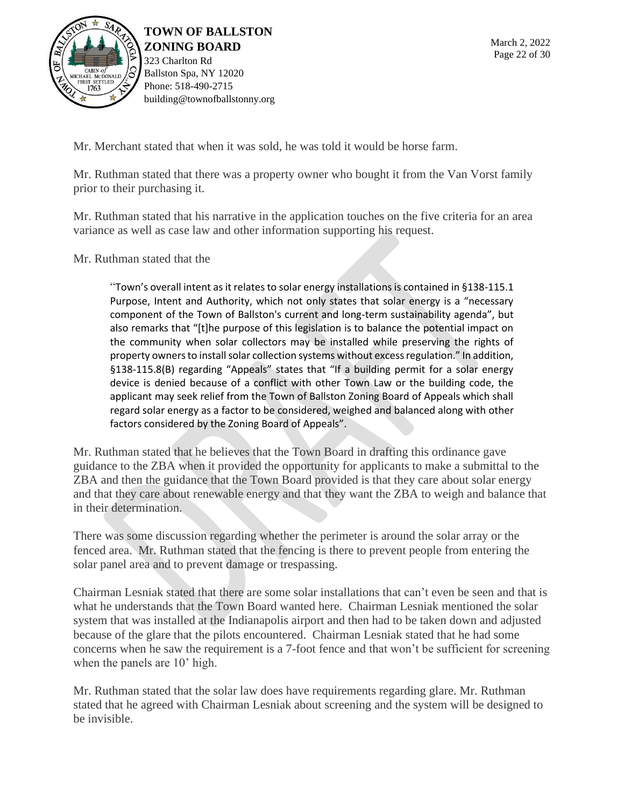

**TOWN OF BALLSTON ZONING BOARD** 323 Charlton Rd Ballston Spa, NY 12020 Phone: 518-490-2715

building@townofballstonny.org

Mr. Merchant stated that when it was sold, he was told it would be horse farm.

Mr. Ruthman stated that there was a property owner who bought it from the Van Vorst family prior to their purchasing it.

Mr. Ruthman stated that his narrative in the application touches on the five criteria for an area variance as well as case law and other information supporting his request.

Mr. Ruthman stated that the

"Town's overall intent as it relates to solar energy installations is contained in §138-115.1 Purpose, Intent and Authority, which not only states that solar energy is a "necessary component of the Town of Ballston's current and long-term sustainability agenda", but also remarks that "[t]he purpose of this legislation is to balance the potential impact on the community when solar collectors may be installed while preserving the rights of property owners to install solar collection systems without excess regulation." In addition, §138-115.8(B) regarding "Appeals" states that "If a building permit for a solar energy device is denied because of a conflict with other Town Law or the building code, the applicant may seek relief from the Town of Ballston Zoning Board of Appeals which shall regard solar energy as a factor to be considered, weighed and balanced along with other factors considered by the Zoning Board of Appeals".

Mr. Ruthman stated that he believes that the Town Board in drafting this ordinance gave guidance to the ZBA when it provided the opportunity for applicants to make a submittal to the ZBA and then the guidance that the Town Board provided is that they care about solar energy and that they care about renewable energy and that they want the ZBA to weigh and balance that in their determination.

There was some discussion regarding whether the perimeter is around the solar array or the fenced area. Mr. Ruthman stated that the fencing is there to prevent people from entering the solar panel area and to prevent damage or trespassing.

Chairman Lesniak stated that there are some solar installations that can't even be seen and that is what he understands that the Town Board wanted here. Chairman Lesniak mentioned the solar system that was installed at the Indianapolis airport and then had to be taken down and adjusted because of the glare that the pilots encountered. Chairman Lesniak stated that he had some concerns when he saw the requirement is a 7-foot fence and that won't be sufficient for screening when the panels are 10' high.

Mr. Ruthman stated that the solar law does have requirements regarding glare. Mr. Ruthman stated that he agreed with Chairman Lesniak about screening and the system will be designed to be invisible.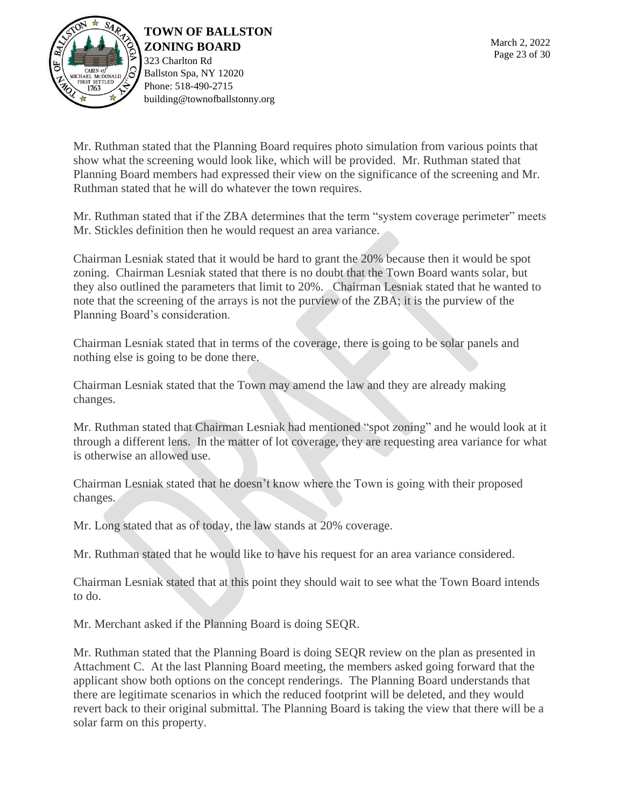

323 Charlton Rd Ballston Spa, NY 12020 Phone: 518-490-2715 building@townofballstonny.org

Mr. Ruthman stated that the Planning Board requires photo simulation from various points that show what the screening would look like, which will be provided. Mr. Ruthman stated that Planning Board members had expressed their view on the significance of the screening and Mr. Ruthman stated that he will do whatever the town requires.

Mr. Ruthman stated that if the ZBA determines that the term "system coverage perimeter" meets Mr. Stickles definition then he would request an area variance.

Chairman Lesniak stated that it would be hard to grant the 20% because then it would be spot zoning. Chairman Lesniak stated that there is no doubt that the Town Board wants solar, but they also outlined the parameters that limit to 20%. Chairman Lesniak stated that he wanted to note that the screening of the arrays is not the purview of the ZBA; it is the purview of the Planning Board's consideration.

Chairman Lesniak stated that in terms of the coverage, there is going to be solar panels and nothing else is going to be done there.

Chairman Lesniak stated that the Town may amend the law and they are already making changes.

Mr. Ruthman stated that Chairman Lesniak had mentioned "spot zoning" and he would look at it through a different lens. In the matter of lot coverage, they are requesting area variance for what is otherwise an allowed use.

Chairman Lesniak stated that he doesn't know where the Town is going with their proposed changes.

Mr. Long stated that as of today, the law stands at 20% coverage.

Mr. Ruthman stated that he would like to have his request for an area variance considered.

Chairman Lesniak stated that at this point they should wait to see what the Town Board intends to do.

Mr. Merchant asked if the Planning Board is doing SEQR.

Mr. Ruthman stated that the Planning Board is doing SEQR review on the plan as presented in Attachment C. At the last Planning Board meeting, the members asked going forward that the applicant show both options on the concept renderings. The Planning Board understands that there are legitimate scenarios in which the reduced footprint will be deleted, and they would revert back to their original submittal. The Planning Board is taking the view that there will be a solar farm on this property.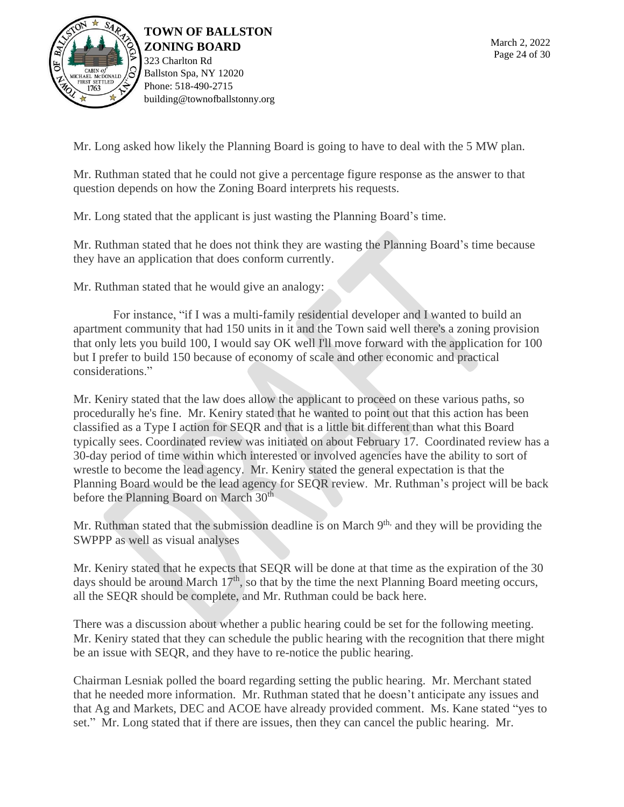

Mr. Long asked how likely the Planning Board is going to have to deal with the 5 MW plan.

Mr. Ruthman stated that he could not give a percentage figure response as the answer to that question depends on how the Zoning Board interprets his requests.

Mr. Long stated that the applicant is just wasting the Planning Board's time.

Mr. Ruthman stated that he does not think they are wasting the Planning Board's time because they have an application that does conform currently.

Mr. Ruthman stated that he would give an analogy:

For instance, "if I was a multi-family residential developer and I wanted to build an apartment community that had 150 units in it and the Town said well there's a zoning provision that only lets you build 100, I would say OK well I'll move forward with the application for 100 but I prefer to build 150 because of economy of scale and other economic and practical considerations."

Mr. Keniry stated that the law does allow the applicant to proceed on these various paths, so procedurally he's fine. Mr. Keniry stated that he wanted to point out that this action has been classified as a Type I action for SEQR and that is a little bit different than what this Board typically sees. Coordinated review was initiated on about February 17. Coordinated review has a 30-day period of time within which interested or involved agencies have the ability to sort of wrestle to become the lead agency. Mr. Keniry stated the general expectation is that the Planning Board would be the lead agency for SEQR review. Mr. Ruthman's project will be back before the Planning Board on March 30<sup>th</sup>

Mr. Ruthman stated that the submission deadline is on March 9<sup>th,</sup> and they will be providing the SWPPP as well as visual analyses

Mr. Keniry stated that he expects that SEQR will be done at that time as the expiration of the 30 days should be around March  $17<sup>th</sup>$ , so that by the time the next Planning Board meeting occurs, all the SEQR should be complete, and Mr. Ruthman could be back here.

There was a discussion about whether a public hearing could be set for the following meeting. Mr. Keniry stated that they can schedule the public hearing with the recognition that there might be an issue with SEQR, and they have to re-notice the public hearing.

Chairman Lesniak polled the board regarding setting the public hearing. Mr. Merchant stated that he needed more information. Mr. Ruthman stated that he doesn't anticipate any issues and that Ag and Markets, DEC and ACOE have already provided comment. Ms. Kane stated "yes to set." Mr. Long stated that if there are issues, then they can cancel the public hearing. Mr.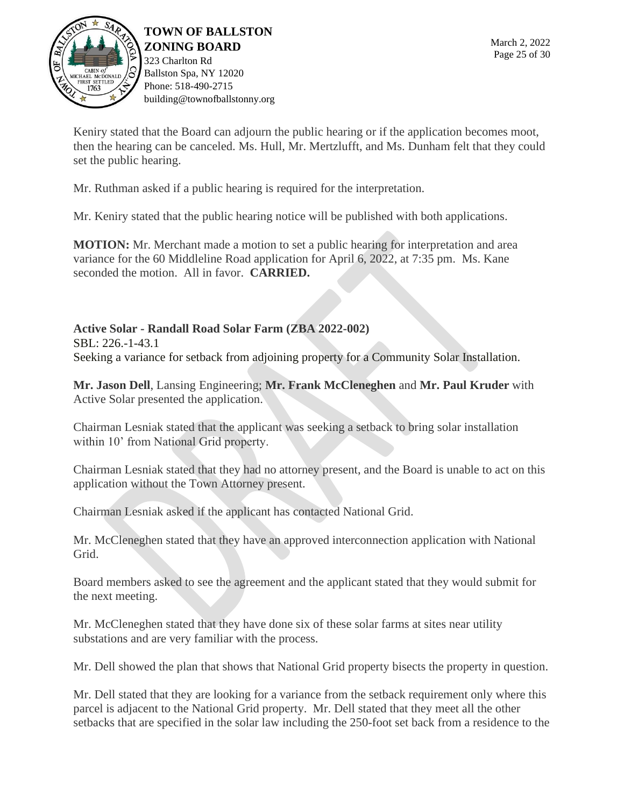

323 Charlton Rd Ballston Spa, NY 12020 Phone: 518-490-2715 building@townofballstonny.org

Keniry stated that the Board can adjourn the public hearing or if the application becomes moot, then the hearing can be canceled. Ms. Hull, Mr. Mertzlufft, and Ms. Dunham felt that they could set the public hearing.

Mr. Ruthman asked if a public hearing is required for the interpretation.

Mr. Keniry stated that the public hearing notice will be published with both applications.

**MOTION:** Mr. Merchant made a motion to set a public hearing for interpretation and area variance for the 60 Middleline Road application for April 6, 2022, at 7:35 pm. Ms. Kane seconded the motion. All in favor. **CARRIED.**

**Active Solar - Randall Road Solar Farm (ZBA 2022-002)** SBL: 226.-1-43.1 Seeking a variance for setback from adjoining property for a Community Solar Installation.

**Mr. Jason Dell**, Lansing Engineering; **Mr. Frank McCleneghen** and **Mr. Paul Kruder** with Active Solar presented the application.

Chairman Lesniak stated that the applicant was seeking a setback to bring solar installation within 10' from National Grid property.

Chairman Lesniak stated that they had no attorney present, and the Board is unable to act on this application without the Town Attorney present.

Chairman Lesniak asked if the applicant has contacted National Grid.

Mr. McCleneghen stated that they have an approved interconnection application with National Grid.

Board members asked to see the agreement and the applicant stated that they would submit for the next meeting.

Mr. McCleneghen stated that they have done six of these solar farms at sites near utility substations and are very familiar with the process.

Mr. Dell showed the plan that shows that National Grid property bisects the property in question.

Mr. Dell stated that they are looking for a variance from the setback requirement only where this parcel is adjacent to the National Grid property. Mr. Dell stated that they meet all the other setbacks that are specified in the solar law including the 250-foot set back from a residence to the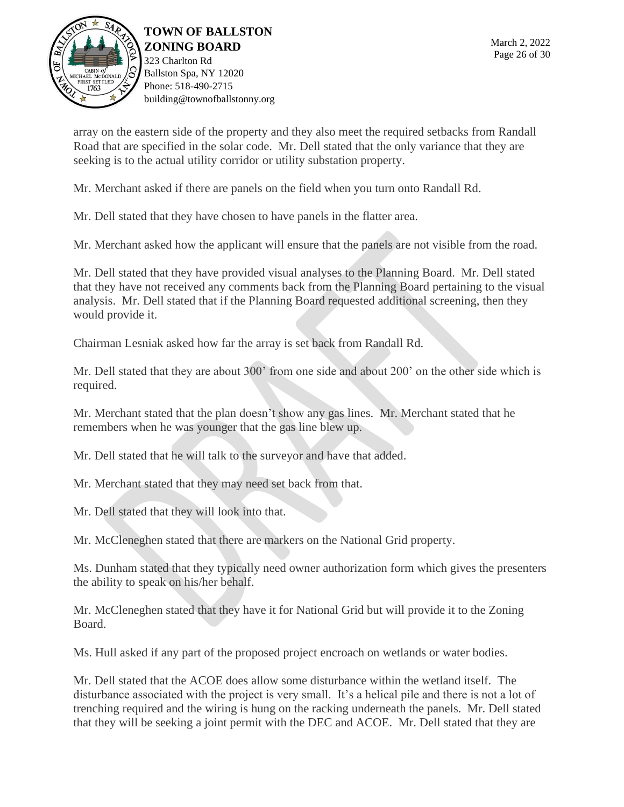

**TOWN OF BALLSTON ZONING BOARD** 323 Charlton Rd Ballston Spa, NY 12020

array on the eastern side of the property and they also meet the required setbacks from Randall Road that are specified in the solar code. Mr. Dell stated that the only variance that they are seeking is to the actual utility corridor or utility substation property.

Mr. Merchant asked if there are panels on the field when you turn onto Randall Rd.

Mr. Dell stated that they have chosen to have panels in the flatter area.

Mr. Merchant asked how the applicant will ensure that the panels are not visible from the road.

Mr. Dell stated that they have provided visual analyses to the Planning Board. Mr. Dell stated that they have not received any comments back from the Planning Board pertaining to the visual analysis. Mr. Dell stated that if the Planning Board requested additional screening, then they would provide it.

Chairman Lesniak asked how far the array is set back from Randall Rd.

Mr. Dell stated that they are about 300' from one side and about 200' on the other side which is required.

Mr. Merchant stated that the plan doesn't show any gas lines. Mr. Merchant stated that he remembers when he was younger that the gas line blew up.

Mr. Dell stated that he will talk to the surveyor and have that added.

Mr. Merchant stated that they may need set back from that.

Mr. Dell stated that they will look into that.

Mr. McCleneghen stated that there are markers on the National Grid property.

Ms. Dunham stated that they typically need owner authorization form which gives the presenters the ability to speak on his/her behalf.

Mr. McCleneghen stated that they have it for National Grid but will provide it to the Zoning Board.

Ms. Hull asked if any part of the proposed project encroach on wetlands or water bodies.

Mr. Dell stated that the ACOE does allow some disturbance within the wetland itself. The disturbance associated with the project is very small. It's a helical pile and there is not a lot of trenching required and the wiring is hung on the racking underneath the panels. Mr. Dell stated that they will be seeking a joint permit with the DEC and ACOE. Mr. Dell stated that they are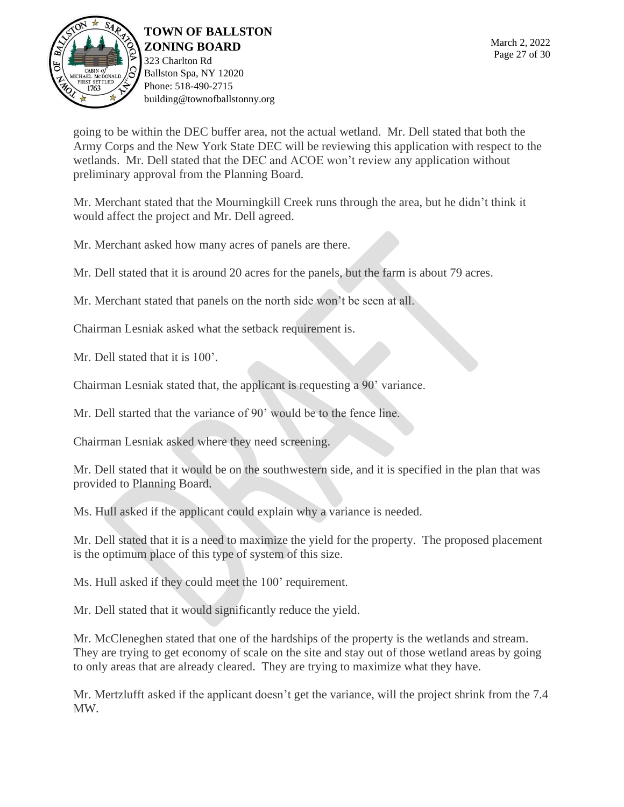

323 Charlton Rd Ballston Spa, NY 12020 Phone: 518-490-2715 building@townofballstonny.org

going to be within the DEC buffer area, not the actual wetland. Mr. Dell stated that both the Army Corps and the New York State DEC will be reviewing this application with respect to the wetlands. Mr. Dell stated that the DEC and ACOE won't review any application without preliminary approval from the Planning Board.

Mr. Merchant stated that the Mourningkill Creek runs through the area, but he didn't think it would affect the project and Mr. Dell agreed.

Mr. Merchant asked how many acres of panels are there.

Mr. Dell stated that it is around 20 acres for the panels, but the farm is about 79 acres.

Mr. Merchant stated that panels on the north side won't be seen at all.

Chairman Lesniak asked what the setback requirement is.

Mr. Dell stated that it is  $100$ .

Chairman Lesniak stated that, the applicant is requesting a 90' variance.

Mr. Dell started that the variance of 90' would be to the fence line.

Chairman Lesniak asked where they need screening.

Mr. Dell stated that it would be on the southwestern side, and it is specified in the plan that was provided to Planning Board.

Ms. Hull asked if the applicant could explain why a variance is needed.

Mr. Dell stated that it is a need to maximize the yield for the property. The proposed placement is the optimum place of this type of system of this size.

Ms. Hull asked if they could meet the 100' requirement.

Mr. Dell stated that it would significantly reduce the yield.

Mr. McCleneghen stated that one of the hardships of the property is the wetlands and stream. They are trying to get economy of scale on the site and stay out of those wetland areas by going to only areas that are already cleared. They are trying to maximize what they have.

Mr. Mertzlufft asked if the applicant doesn't get the variance, will the project shrink from the 7.4 MW.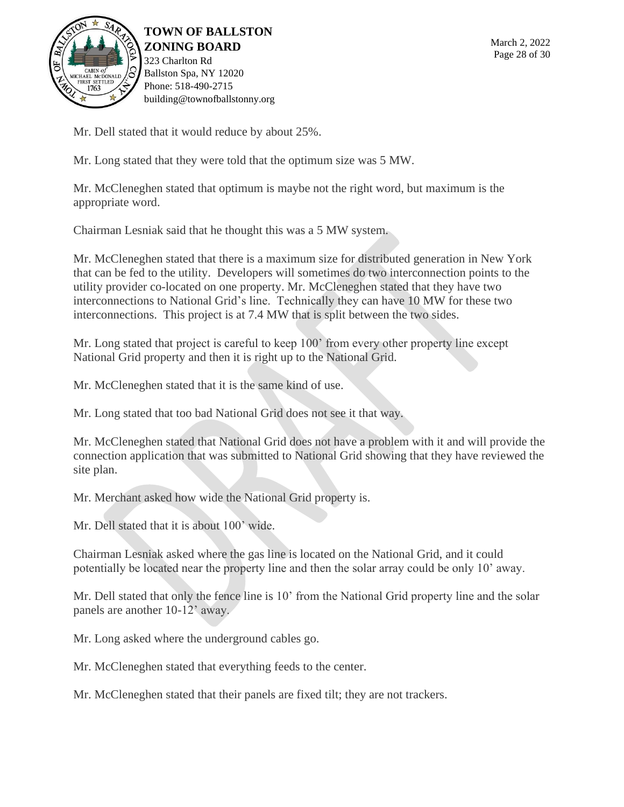

Mr. Dell stated that it would reduce by about 25%.

Mr. Long stated that they were told that the optimum size was 5 MW.

Mr. McCleneghen stated that optimum is maybe not the right word, but maximum is the appropriate word.

Chairman Lesniak said that he thought this was a 5 MW system.

Mr. McCleneghen stated that there is a maximum size for distributed generation in New York that can be fed to the utility. Developers will sometimes do two interconnection points to the utility provider co-located on one property. Mr. McCleneghen stated that they have two interconnections to National Grid's line. Technically they can have 10 MW for these two interconnections. This project is at 7.4 MW that is split between the two sides.

Mr. Long stated that project is careful to keep 100' from every other property line except National Grid property and then it is right up to the National Grid.

Mr. McCleneghen stated that it is the same kind of use.

Mr. Long stated that too bad National Grid does not see it that way.

Mr. McCleneghen stated that National Grid does not have a problem with it and will provide the connection application that was submitted to National Grid showing that they have reviewed the site plan.

Mr. Merchant asked how wide the National Grid property is.

Mr. Dell stated that it is about 100' wide.

Chairman Lesniak asked where the gas line is located on the National Grid, and it could potentially be located near the property line and then the solar array could be only 10' away.

Mr. Dell stated that only the fence line is 10' from the National Grid property line and the solar panels are another 10-12' away.

Mr. Long asked where the underground cables go.

Mr. McCleneghen stated that everything feeds to the center.

Mr. McCleneghen stated that their panels are fixed tilt; they are not trackers.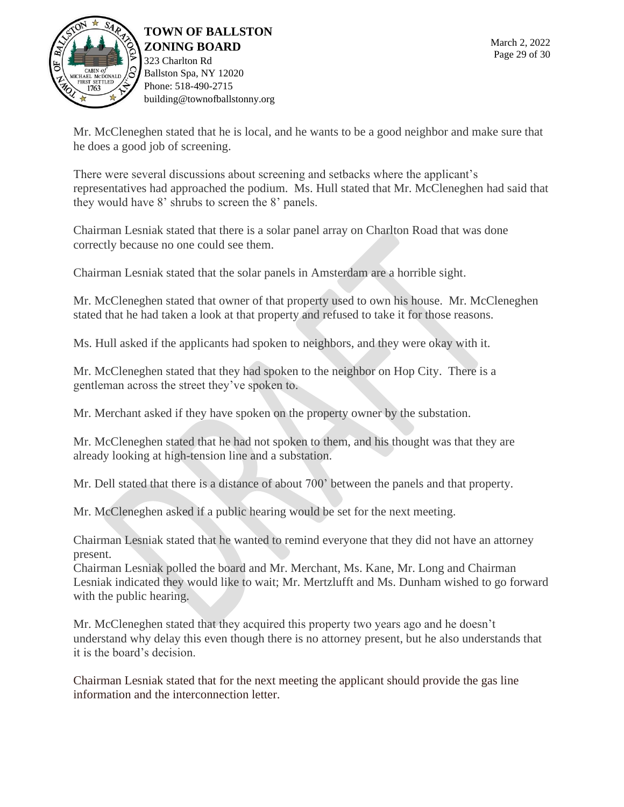

**TOWN OF BALLSTON ZONING BOARD** 323 Charlton Rd Ballston Spa, NY 12020

Mr. McCleneghen stated that he is local, and he wants to be a good neighbor and make sure that he does a good job of screening.

There were several discussions about screening and setbacks where the applicant's representatives had approached the podium. Ms. Hull stated that Mr. McCleneghen had said that they would have 8' shrubs to screen the 8' panels.

Chairman Lesniak stated that there is a solar panel array on Charlton Road that was done correctly because no one could see them.

Chairman Lesniak stated that the solar panels in Amsterdam are a horrible sight.

Mr. McCleneghen stated that owner of that property used to own his house. Mr. McCleneghen stated that he had taken a look at that property and refused to take it for those reasons.

Ms. Hull asked if the applicants had spoken to neighbors, and they were okay with it.

Mr. McCleneghen stated that they had spoken to the neighbor on Hop City. There is a gentleman across the street they've spoken to.

Mr. Merchant asked if they have spoken on the property owner by the substation.

Mr. McCleneghen stated that he had not spoken to them, and his thought was that they are already looking at high-tension line and a substation.

Mr. Dell stated that there is a distance of about 700' between the panels and that property.

Mr. McCleneghen asked if a public hearing would be set for the next meeting.

Chairman Lesniak stated that he wanted to remind everyone that they did not have an attorney present.

Chairman Lesniak polled the board and Mr. Merchant, Ms. Kane, Mr. Long and Chairman Lesniak indicated they would like to wait; Mr. Mertzlufft and Ms. Dunham wished to go forward with the public hearing.

Mr. McCleneghen stated that they acquired this property two years ago and he doesn't understand why delay this even though there is no attorney present, but he also understands that it is the board's decision.

Chairman Lesniak stated that for the next meeting the applicant should provide the gas line information and the interconnection letter.